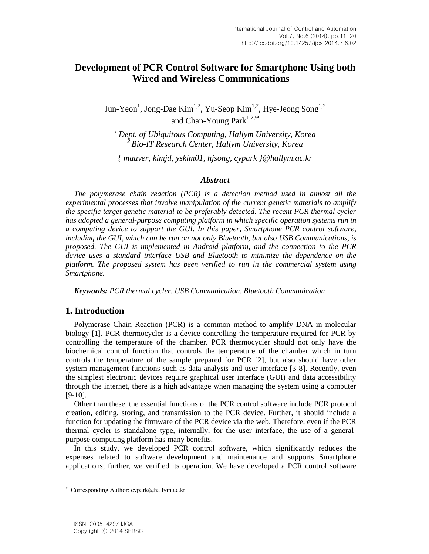# **Development of PCR Control Software for Smartphone Using both Wired and Wireless Communications**

Jun-Yeon<sup>1</sup>, Jong-Dae Kim<sup>1,2</sup>, Yu-Seop Kim<sup>1,2</sup>, Hye-Jeong Song<sup>1,2</sup> and Chan-Young Park $1,2,*$ 

*<sup>1</sup>Dept. of Ubiquitous Computing, Hallym University, Korea <sup>2</sup>Bio-IT Research Center, Hallym University, Korea*

*{ mauver, kimjd, yskim01, hjsong, cypark }@hallym.ac.kr*

## *Abstract*

*The polymerase chain reaction (PCR) is a detection method used in almost all the experimental processes that involve manipulation of the current genetic materials to amplify the specific target genetic material to be preferably detected. The recent PCR thermal cycler has adopted a general-purpose computing platform in which specific operation systems run in a computing device to support the GUI. In this paper, Smartphone PCR control software, including the GUI, which can be run on not only Bluetooth, but also USB Communications, is proposed. The GUI is implemented in Android platform, and the connection to the PCR device uses a standard interface USB and Bluetooth to minimize the dependence on the platform. The proposed system has been verified to run in the commercial system using Smartphone.*

*Keywords: PCR thermal cycler, USB Communication, Bluetooth Communication*

# **1. Introduction**

Polymerase Chain Reaction (PCR) is a common method to amplify DNA in molecular biology [1]. PCR thermocycler is a device controlling the temperature required for PCR by controlling the temperature of the chamber. PCR thermocycler should not only have the biochemical control function that controls the temperature of the chamber which in turn controls the temperature of the sample prepared for PCR [2], but also should have other system management functions such as data analysis and user interface [3-8]. Recently, even the simplest electronic devices require graphical user interface (GUI) and data accessibility through the internet, there is a high advantage when managing the system using a computer [9-10].

Other than these, the essential functions of the PCR control software include PCR protocol creation, editing, storing, and transmission to the PCR device. Further, it should include a function for updating the firmware of the PCR device via the web. Therefore, even if the PCR thermal cycler is standalone type, internally, for the user interface, the use of a generalpurpose computing platform has many benefits.

In this study, we developed PCR control software, which significantly reduces the expenses related to software development and maintenance and supports Smartphone applications; further, we verified its operation. We have developed a PCR control software

 $\overline{a}$ 

<sup>\*</sup> Corresponding Author: cypark@hallym.ac.kr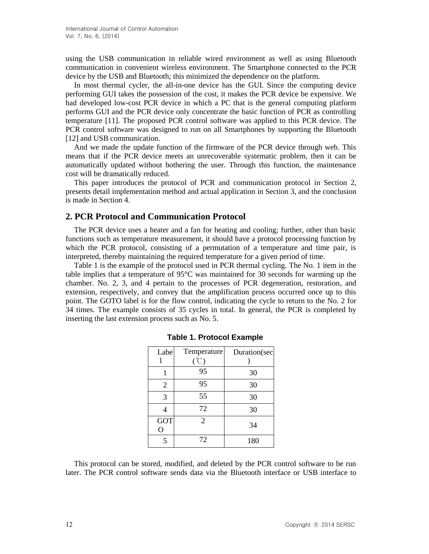using the USB communication in reliable wired environment as well as using Bluetooth communication in convenient wireless environment. The Smartphone connected to the PCR device by the USB and Bluetooth; this minimized the dependence on the platform.

In most thermal cycler, the all-in-one device has the GUI. Since the computing device performing GUI takes the possession of the cost, it makes the PCR device be expensive. We had developed low-cost PCR device in which a PC that is the general computing platform performs GUI and the PCR device only concentrate the basic function of PCR as controlling temperature [11]. The proposed PCR control software was applied to this PCR device. The PCR control software was designed to run on all Smartphones by supporting the Bluetooth [12] and USB communication.

And we made the update function of the firmware of the PCR device through web. This means that if the PCR device meets an unrecoverable systematic problem, then it can be automatically updated without bothering the user. Through this function, the maintenance cost will be dramatically reduced.

This paper introduces the protocol of PCR and communication protocol in Section 2, presents detail implementation method and actual application in Section 3, and the conclusion is made in Section 4.

## **2. PCR Protocol and Communication Protocol**

The PCR device uses a heater and a fan for heating and cooling; further, other than basic functions such as temperature measurement, it should have a protocol processing function by which the PCR protocol, consisting of a permutation of a temperature and time pair, is interpreted, thereby maintaining the required temperature for a given period of time.

Table 1 is the example of the protocol used in PCR thermal cycling. The No. 1 item in the table implies that a temperature of 95°C was maintained for 30 seconds for warming up the chamber. No. 2, 3, and 4 pertain to the processes of PCR degeneration, restoration, and extension, respectively, and convey that the amplification process occurred once up to this point. The GOTO label is for the flow control, indicating the cycle to return to the No. 2 for 34 times. The example consists of 35 cycles in total. In general, the PCR is completed by inserting the last extension process such as No. 5.

| Labe            | Temperature<br>$(\mathcal{C})$ | Duration(sec |
|-----------------|--------------------------------|--------------|
|                 | 95                             | 30           |
| 2               | 95                             | 30           |
| 3               | 55                             | 30           |
|                 | 72                             | 30           |
| <b>GOT</b><br>O | 2                              | 34           |
| 5               | 72                             | 180          |

### **Table 1. Protocol Example**

This protocol can be stored, modified, and deleted by the PCR control software to be run later. The PCR control software sends data via the Bluetooth interface or USB interface to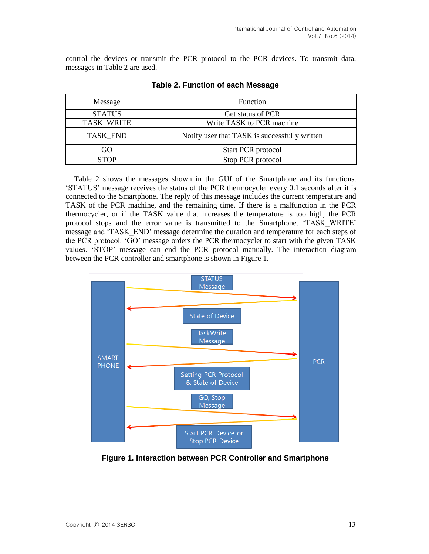control the devices or transmit the PCR protocol to the PCR devices. To transmit data, messages in Table 2 are used.

| Message       | <b>Function</b>                               |  |
|---------------|-----------------------------------------------|--|
| <b>STATUS</b> | Get status of PCR                             |  |
| TASK_WRITE    | Write TASK to PCR machine                     |  |
| TASK_END      | Notify user that TASK is successfully written |  |
| GO            | Start PCR protocol                            |  |
| <b>STOP</b>   | Stop PCR protocol                             |  |

**Table 2. Function of each Message**

Table 2 shows the messages shown in the GUI of the Smartphone and its functions. 'STATUS' message receives the status of the PCR thermocycler every 0.1 seconds after it is connected to the Smartphone. The reply of this message includes the current temperature and TASK of the PCR machine, and the remaining time. If there is a malfunction in the PCR thermocycler, or if the TASK value that increases the temperature is too high, the PCR protocol stops and the error value is transmitted to the Smartphone. 'TASK\_WRITE' message and 'TASK\_END' message determine the duration and temperature for each steps of the PCR protocol. 'GO' message orders the PCR thermocycler to start with the given TASK values. 'STOP' message can end the PCR protocol manually. The interaction diagram between the PCR controller and smartphone is shown in Figure 1.



**Figure 1. Interaction between PCR Controller and Smartphone**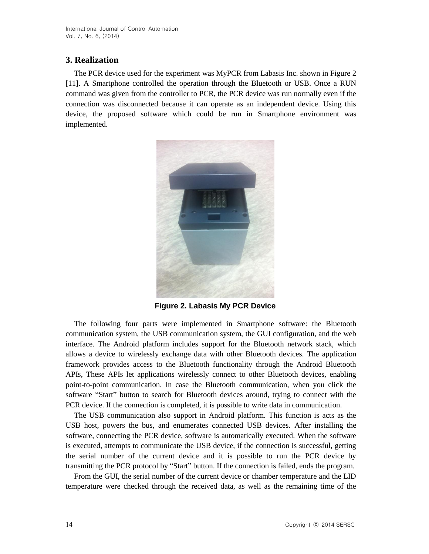# **3. Realization**

The PCR device used for the experiment was MyPCR from Labasis Inc. shown in Figure 2 [11]. A Smartphone controlled the operation through the Bluetooth or USB. Once a RUN command was given from the controller to PCR, the PCR device was run normally even if the connection was disconnected because it can operate as an independent device. Using this device, the proposed software which could be run in Smartphone environment was implemented.



**Figure 2. Labasis My PCR Device**

The following four parts were implemented in Smartphone software: the Bluetooth communication system, the USB communication system, the GUI configuration, and the web interface. The Android platform includes support for the Bluetooth network stack, which allows a device to wirelessly exchange data with other Bluetooth devices. The application framework provides access to the Bluetooth functionality through the Android Bluetooth APIs, These APIs let applications wirelessly connect to other Bluetooth devices, enabling point-to-point communication. In case the Bluetooth communication, when you click the software "Start" button to search for Bluetooth devices around, trying to connect with the PCR device. If the connection is completed, it is possible to write data in communication.

The USB communication also support in Android platform. This function is acts as the USB host, powers the bus, and enumerates connected USB devices. After installing the software, connecting the PCR device, software is automatically executed. When the software is executed, attempts to communicate the USB device, if the connection is successful, getting the serial number of the current device and it is possible to run the PCR device by transmitting the PCR protocol by "Start" button. If the connection is failed, ends the program.

From the GUI, the serial number of the current device or chamber temperature and the LID temperature were checked through the received data, as well as the remaining time of the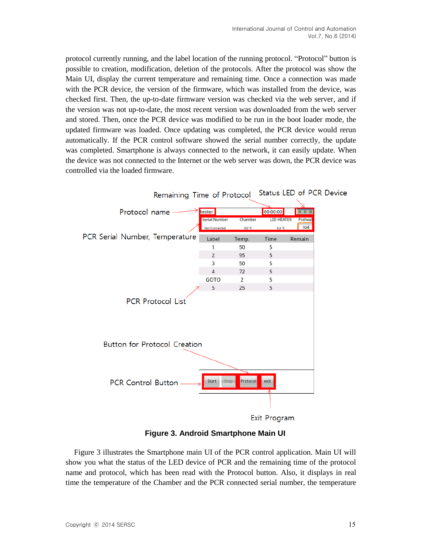protocol currently running, and the label location of the running protocol. "Protocol" button is possible to creation, modification, deletion of the protocols. After the protocol was show the Main UI, display the current temperature and remaining time. Once a connection was made with the PCR device, the version of the firmware, which was installed from the device, was checked first. Then, the up-to-date firmware version was checked via the web server, and if the version was not up-to-date, the most recent version was downloaded from the web server and stored. Then, once the PCR device was modified to be run in the boot loader mode, the updated firmware was loaded. Once updating was completed, the PCR device would rerun automatically. If the PCR control software showed the serial number correctly, the update was completed. Smartphone is always connected to the network, it can easily update. When the device was not connected to the Internet or the web server was down, the PCR device was controlled via the loaded firmware.



**Figure 3. Android Smartphone Main UI**

Figure 3 illustrates the Smartphone main UI of the PCR control application. Main UI will show you what the status of the LED device of PCR and the remaining time of the protocol name and protocol, which has been read with the Protocol button. Also, it displays in real time the temperature of the Chamber and the PCR connected serial number, the temperature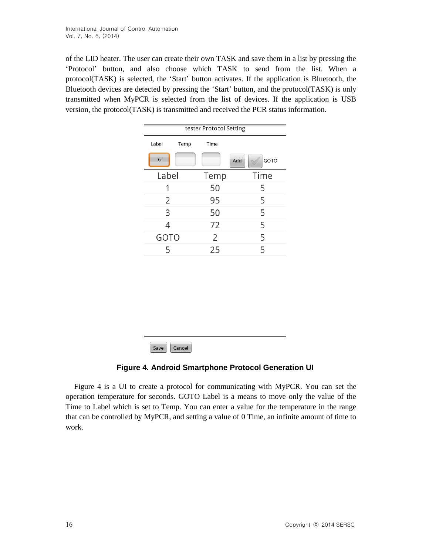of the LID heater. The user can create their own TASK and save them in a list by pressing the 'Protocol' button, and also choose which TASK to send from the list. When a protocol(TASK) is selected, the 'Start' button activates. If the application is Bluetooth, the Bluetooth devices are detected by pressing the 'Start' button, and the protocol(TASK) is only transmitted when MyPCR is selected from the list of devices. If the application is USB version, the protocol(TASK) is transmitted and received the PCR status information.

| tester Protocol Setting |      |      |             |  |  |
|-------------------------|------|------|-------------|--|--|
| Label                   | Temp | Time |             |  |  |
| 6                       |      |      | GOTO<br>Add |  |  |
| Label                   |      | Temp | Time        |  |  |
|                         |      | 50   | 5           |  |  |
| 2                       |      | 95   | 5           |  |  |
| 3                       |      | 50   | 5           |  |  |
| 4                       |      | 72   | 5           |  |  |
| GOTO                    |      | 2    | 5           |  |  |
| 5                       |      | 25   | 5           |  |  |
|                         |      |      |             |  |  |

Save Cancel

# **Figure 4. Android Smartphone Protocol Generation UI**

Figure 4 is a UI to create a protocol for communicating with MyPCR. You can set the operation temperature for seconds. GOTO Label is a means to move only the value of the Time to Label which is set to Temp. You can enter a value for the temperature in the range that can be controlled by MyPCR, and setting a value of 0 Time, an infinite amount of time to work.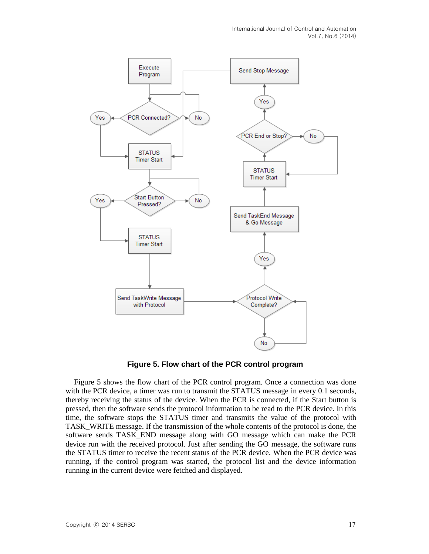

**Figure 5. Flow chart of the PCR control program**

Figure 5 shows the flow chart of the PCR control program. Once a connection was done with the PCR device, a timer was run to transmit the STATUS message in every 0.1 seconds, thereby receiving the status of the device. When the PCR is connected, if the Start button is pressed, then the software sends the protocol information to be read to the PCR device. In this time, the software stops the STATUS timer and transmits the value of the protocol with TASK\_WRITE message. If the transmission of the whole contents of the protocol is done, the software sends TASK\_END message along with GO message which can make the PCR device run with the received protocol. Just after sending the GO message, the software runs the STATUS timer to receive the recent status of the PCR device. When the PCR device was running, if the control program was started, the protocol list and the device information running in the current device were fetched and displayed.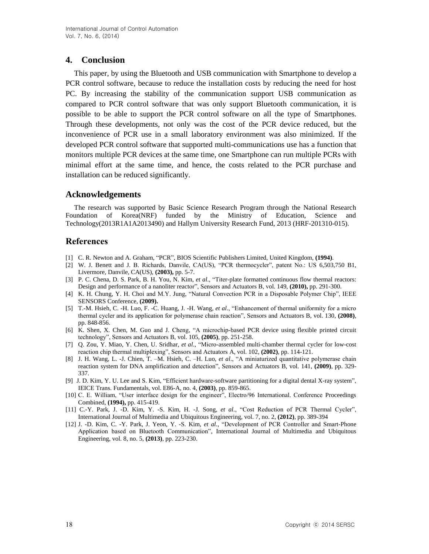## **4. Conclusion**

This paper, by using the Bluetooth and USB communication with Smartphone to develop a PCR control software, because to reduce the installation costs by reducing the need for host PC. By increasing the stability of the communication support USB communication as compared to PCR control software that was only support Bluetooth communication, it is possible to be able to support the PCR control software on all the type of Smartphones. Through these developments, not only was the cost of the PCR device reduced, but the inconvenience of PCR use in a small laboratory environment was also minimized. If the developed PCR control software that supported multi-communications use has a function that monitors multiple PCR devices at the same time, one Smartphone can run multiple PCRs with minimal effort at the same time, and hence, the costs related to the PCR purchase and installation can be reduced significantly.

## **Acknowledgements**

The research was supported by Basic Science Research Program through the National Research Foundation of Korea(NRF) funded by the Ministry of Education, Science and Technology(2013R1A1A2013490) and Hallym University Research Fund, 2013 (HRF-201310-015).

## **References**

- [1] C. R. Newton and A. Graham, "PCR", BIOS Scientific Publishers Limited, United Kingdom, **(1994)**.
- [2] W. J. Benett and J. B. Richards, Danvile, CA(US), "PCR thermocycler", patent No.: US 6,503,750 B1, Livermore, Danvile, CA(US), **(2003),** pp. 5-7.
- [3] P. C. Chena, D. S. Park, B. H. You, N. Kim, *et al*., "Titer-plate formatted continuous flow thermal reactors: Design and performance of a nanoliter reactor", Sensors and Actuators B, vol. 149, **(2010),** pp. 291-300.
- [4] K. H. Chung, Y. H. Choi and M.Y. Jung, "Natural Convection PCR in a Disposable Polymer Chip", IEEE SENSORS Conference, **(2009).**
- [5] T.-M. Hsieh, C. -H. Luo, F. -C. Huang, J. -H. Wang, *et al*., "Enhancement of thermal uniformity for a micro thermal cycler and its application for polymerase chain reaction", Sensors and Actuators B, vol. 130, **(2008)**, pp. 848-856.
- [6] K. Shen, X. Chen, M. Guo and J. Cheng, "A microchip-based PCR device using flexible printed circuit technology", Sensors and Actuators B, vol. 105, **(2005)**, pp. 251-258.
- [7] Q. Zou, Y. Miao, Y. Chen, U. Sridhar, *et al*., "Micro-assembled multi-chamber thermal cycler for low-cost reaction chip thermal multiplexing", Sensors and Actuators A, vol. 102, **(2002)**, pp. 114-121.
- [8] J. H. Wang, L. -J. Chien, T. –M. Hsieh, C. –H. Luo, *et al*., "A miniaturized quantitative polymerase chain reaction system for DNA amplification and detection", Sensors and Actuators B, vol. 141, **(2009)**, pp. 329- 337.
- [9] J. D. Kim, Y. U. Lee and S. Kim, "Efficient hardware-software partitioning for a digital dental X-ray system", IEICE Trans. Fundamentals, vol. E86-A, no. 4, **(2003)**, pp. 859-865.
- [10] C. E. William, "User interface design for the engineer", Electro/96 International. Conference Proceedings Combined, **(1994),** pp. 415-419.
- [11] C.-Y. Park, J. -D. Kim, Y. -S. Kim, H. -J. Song, *et al*., "Cost Reduction of PCR Thermal Cycler", International Journal of Multimedia and Ubiquitous Engineering, vol. 7, no. 2, **(2012)**, pp. 389-394
- [12] J. -D. Kim, C. -Y. Park, J. Yeon, Y. -S. Kim, *et al*., "Development of PCR Controller and Smart-Phone Application based on Bluetooth Communication", International Journal of Multimedia and Ubiquitous Engineering, vol. 8, no. 5, **(2013)**, pp. 223-230.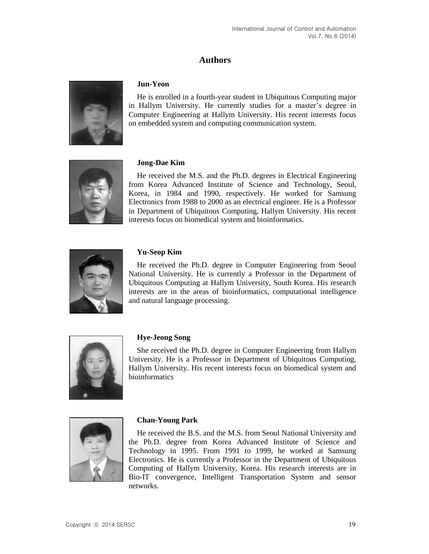# **Authors**



### **Jun-Yeon**

He is enrolled in a fourth-year student in Ubiquitous Computing major in Hallym University. He currently studies for a master's degree in Computer Engineering at Hallym University. His recent interests focus on embedded system and computing communication system.



### **Jong-Dae Kim**

He received the M.S. and the Ph.D. degrees in Electrical Engineering from Korea Advanced Institute of Science and Technology, Seoul, Korea, in 1984 and 1990, respectively. He worked for Samsung Electronics from 1988 to 2000 as an electrical engineer. He is a Professor in Department of Ubiquitous Computing, Hallym University. His recent interests focus on biomedical system and bioinformatics.



### **Yu-Seop Kim**

He received the Ph.D. degree in Computer Engineering from Seoul National University. He is currently a Professor in the Department of Ubiquitous Computing at Hallym University, South Korea. His research interests are in the areas of bioinformatics, computational intelligence and natural language processing.



### **Hye-Jeong Song**

She received the Ph.D. degree in Computer Engineering from Hallym University. He is a Professor in Department of Ubiquitous Computing, Hallym University. His recent interests focus on biomedical system and bioinformatics



#### **Chan-Young Park**

He received the B.S. and the M.S. from Seoul National University and the Ph.D. degree from Korea Advanced Institute of Science and Technology in 1995. From 1991 to 1999, he worked at Samsung Electronics. He is currently a Professor in the Department of Ubiquitous Computing of Hallym University, Korea. His research interests are in Bio-IT convergence, Intelligent Transportation System and sensor networks.